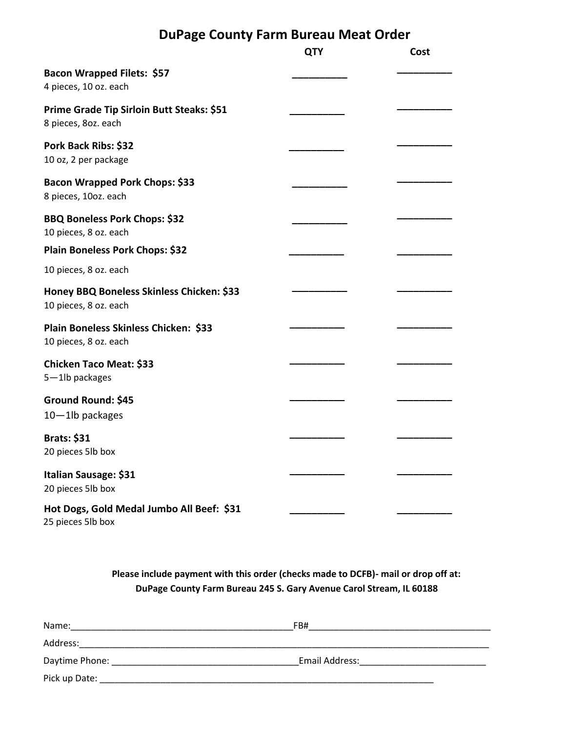## **DuPage County Farm Bureau Meat Order**

|                                                                    | <b>QTY</b> | Cost |
|--------------------------------------------------------------------|------------|------|
| Bacon Wrapped Filets: \$57<br>4 pieces, 10 oz. each                |            |      |
| Prime Grade Tip Sirloin Butt Steaks: \$51<br>8 pieces, 80z. each   |            |      |
| Pork Back Ribs: \$32<br>10 oz, 2 per package                       |            |      |
| Bacon Wrapped Pork Chops: \$33<br>8 pieces, 10oz. each             |            |      |
| <b>BBQ Boneless Pork Chops: \$32</b><br>10 pieces, 8 oz. each      |            |      |
| Plain Boneless Pork Chops: \$32                                    |            |      |
| 10 pieces, 8 oz. each                                              |            |      |
| Honey BBQ Boneless Skinless Chicken: \$33<br>10 pieces, 8 oz. each |            |      |
| Plain Boneless Skinless Chicken: \$33<br>10 pieces, 8 oz. each     |            |      |
| <b>Chicken Taco Meat: \$33</b><br>5-1lb packages                   |            |      |
| Ground Round: \$45<br>10-1lb packages                              |            |      |
| <b>Brats: \$31</b><br>20 pieces 5lb box                            |            |      |
| Italian Sausage: \$31<br>20 pieces 5lb box                         |            |      |
| Hot Dogs, Gold Medal Jumbo All Beef: \$31<br>25 pieces 5lb box     |            |      |

**Please include payment with this order (checks made to DCFB)- mail or drop off at: DuPage County Farm Bureau 245 S. Gary Avenue Carol Stream, IL 60188**

| Name:          | FB#            |  |
|----------------|----------------|--|
| Address:       |                |  |
| Daytime Phone: | Email Address: |  |
| Pick up Date:  |                |  |